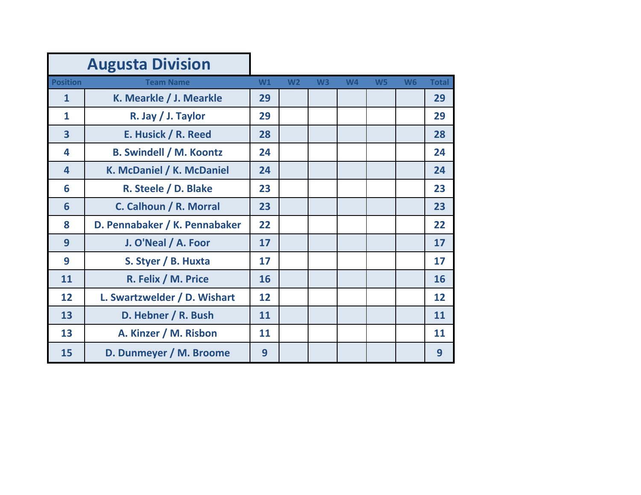|                         | <b>Augusta Division</b>        |    |                |                |           |                |           |              |
|-------------------------|--------------------------------|----|----------------|----------------|-----------|----------------|-----------|--------------|
| <b>Position</b>         | <b>Team Name</b>               | W1 | W <sub>2</sub> | W <sub>3</sub> | <b>W4</b> | W <sub>5</sub> | <b>W6</b> | <b>Total</b> |
| $\mathbf{1}$            | K. Mearkle / J. Mearkle        | 29 |                |                |           |                |           | 29           |
| $\mathbf{1}$            | R. Jay / J. Taylor             | 29 |                |                |           |                |           | 29           |
| $\overline{\mathbf{3}}$ | E. Husick / R. Reed            | 28 |                |                |           |                |           | 28           |
| 4                       | <b>B. Swindell / M. Koontz</b> | 24 |                |                |           |                |           | 24           |
| $\overline{4}$          | K. McDaniel / K. McDaniel      | 24 |                |                |           |                |           | 24           |
| 6                       | R. Steele / D. Blake           | 23 |                |                |           |                |           | 23           |
| 6                       | C. Calhoun / R. Morral         | 23 |                |                |           |                |           | 23           |
| 8                       | D. Pennabaker / K. Pennabaker  | 22 |                |                |           |                |           | 22           |
| 9                       | J. O'Neal / A. Foor            | 17 |                |                |           |                |           | 17           |
| 9                       | S. Styer / B. Huxta            | 17 |                |                |           |                |           | 17           |
| 11                      | R. Felix / M. Price            | 16 |                |                |           |                |           | 16           |
| 12                      | L. Swartzwelder / D. Wishart   | 12 |                |                |           |                |           | 12           |
| 13                      | D. Hebner / R. Bush            | 11 |                |                |           |                |           | 11           |
| 13                      | A. Kinzer / M. Risbon          | 11 |                |                |           |                |           | 11           |
| 15                      | D. Dunmeyer / M. Broome        | 9  |                |                |           |                |           | 9            |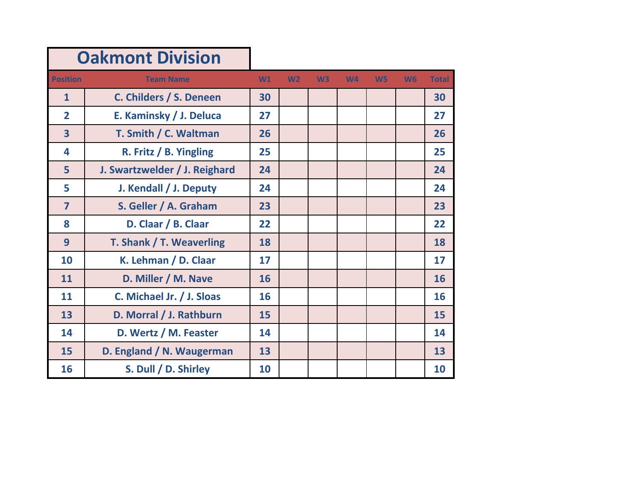| <b>Oakmont Division</b> |                               |    |                |                |                |                |           |              |
|-------------------------|-------------------------------|----|----------------|----------------|----------------|----------------|-----------|--------------|
| <b>Position</b>         | <b>Team Name</b>              | W1 | W <sub>2</sub> | W <sup>3</sup> | W <sub>4</sub> | W <sub>5</sub> | <b>W6</b> | <b>Total</b> |
| $\mathbf{1}$            | C. Childers / S. Deneen       | 30 |                |                |                |                |           | 30           |
| $\overline{2}$          | E. Kaminsky / J. Deluca       | 27 |                |                |                |                |           | 27           |
| $\overline{\mathbf{3}}$ | T. Smith / C. Waltman         | 26 |                |                |                |                |           | 26           |
| 4                       | R. Fritz / B. Yingling        | 25 |                |                |                |                |           | 25           |
| 5                       | J. Swartzwelder / J. Reighard | 24 |                |                |                |                |           | 24           |
| 5                       | J. Kendall / J. Deputy        | 24 |                |                |                |                |           | 24           |
| $\overline{7}$          | S. Geller / A. Graham         | 23 |                |                |                |                |           | 23           |
| 8                       | D. Claar / B. Claar           | 22 |                |                |                |                |           | 22           |
| 9                       | T. Shank / T. Weaverling      | 18 |                |                |                |                |           | 18           |
| 10                      | K. Lehman / D. Claar          | 17 |                |                |                |                |           | 17           |
| 11                      | D. Miller / M. Nave           | 16 |                |                |                |                |           | 16           |
| 11                      | C. Michael Jr. / J. Sloas     | 16 |                |                |                |                |           | 16           |
| 13                      | D. Morral / J. Rathburn       | 15 |                |                |                |                |           | 15           |
| 14                      | D. Wertz / M. Feaster         | 14 |                |                |                |                |           | 14           |
| 15                      | D. England / N. Waugerman     | 13 |                |                |                |                |           | 13           |
| 16                      | S. Dull / D. Shirley          | 10 |                |                |                |                |           | 10           |